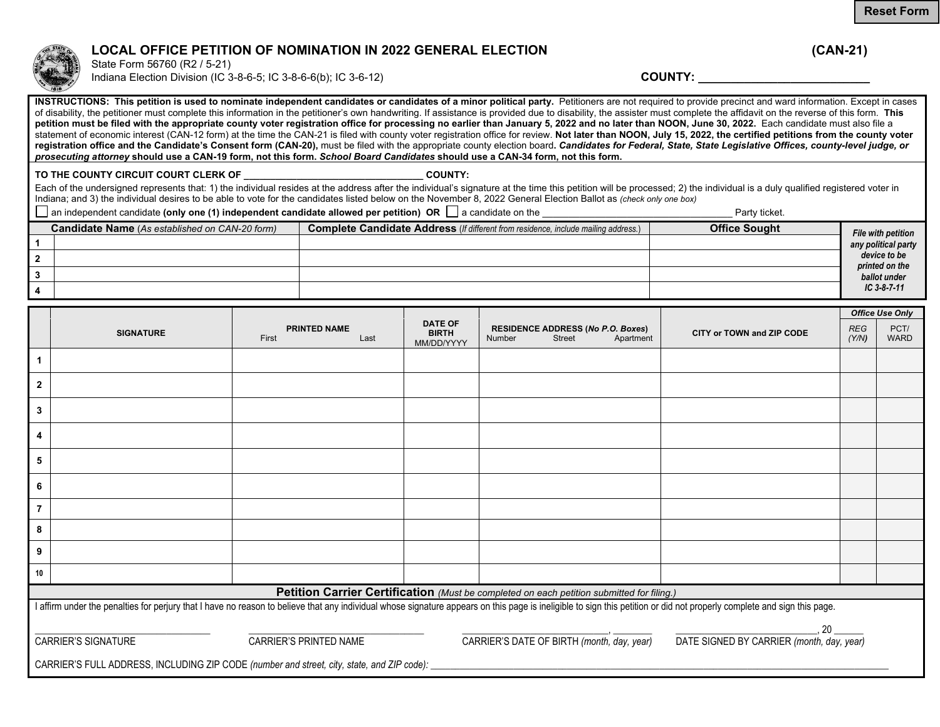## **LOCAL OFFICE PETITION OF NOMINATION IN 2022 GENERAL ELECTION (CAN-21)**

State Form 56760 (R2 / 5-21) Indiana Election Division (IC 3-8-6-5; IC 3-8-6-6(b); IC 3-6-12) **COUNTY: COUNTY:** 

**INSTRUCTIONS: This petition is used to nominate independent candidates or candidates of a minor political party.** Petitioners are not required to provide precinct and ward information. Except in cases of disability, the petitioner must complete this information in the petitioner's own handwriting. If assistance is provided due to disability, the assister must complete the affidavit on the reverse of this form. This petition must be filed with the appropriate county voter registration office for processing no earlier than January 5, 2022 and no later than NOON, June 30, 2022. Each candidate must also file a statement of economic interest (CAN-12 form) at the time the CAN-21 is filed with county voter registration office for review. Not later than NOON, July 15, 2022, the certified petitions from the county voter **registration office and the Candidate's Consent form (CAN-20),** must be filed with the appropriate county election board**.** *Candidates for Federal, State, State Legislative Offices, county-level judge, or prosecuting attorne y* **should use a CAN-19 form, not this form.** *School Board Candidates* **should use a CAN-34 form, not this form.**

TO THE COUNTY CIRCUIT COURT CLERK OF **THE COUNTY:**  $\blacksquare$ 

Each of the undersigned represents that: 1) the individual resides at the address after the individual's signature at the time this petition will be processed; 2) the individual is a duly qualified registered voter in Indiana; and 3) the individual desires to be able to vote for the candidates listed below on the November 8, 2022 General Election Ballot as *(check only one box)*

an independent candidate **(only one (1) independent candidate allowed per petition) OR** a candidate on the \_\_\_\_\_\_\_\_\_\_\_\_\_\_\_\_\_\_\_\_\_\_\_\_\_\_\_\_\_\_\_\_\_\_\_\_ Party ticket.

| <b>Candidate Name</b> (As established on CAN-20 form) | Complete Candidate Address (If different from residence, include mailing address.) | <b>Office Sought</b> | File with petition             |
|-------------------------------------------------------|------------------------------------------------------------------------------------|----------------------|--------------------------------|
|                                                       |                                                                                    |                      | any political party            |
|                                                       |                                                                                    |                      | device to be<br>printed on the |
|                                                       |                                                                                    |                      | ballot under                   |
|                                                       |                                                                                    |                      | $IC$ 3-8-7-11                  |

|                            |                                                                                                                                                                                                                         |                                                                                           |                                              |               |               |                                                       |                                                 | <b>Office Use Only</b> |                     |
|----------------------------|-------------------------------------------------------------------------------------------------------------------------------------------------------------------------------------------------------------------------|-------------------------------------------------------------------------------------------|----------------------------------------------|---------------|---------------|-------------------------------------------------------|-------------------------------------------------|------------------------|---------------------|
|                            | <b>SIGNATURE</b>                                                                                                                                                                                                        | <b>PRINTED NAME</b><br>First<br>Last                                                      | <b>DATE OF</b><br><b>BIRTH</b><br>MM/DD/YYYY | <b>Number</b> | <b>Street</b> | <b>RESIDENCE ADDRESS (No P.O. Boxes)</b><br>Apartment | CITY or TOWN and ZIP CODE                       | <b>REG</b><br>(Y/N)    | PCT/<br><b>WARD</b> |
| 1                          |                                                                                                                                                                                                                         |                                                                                           |                                              |               |               |                                                       |                                                 |                        |                     |
| $\mathbf{2}$               |                                                                                                                                                                                                                         |                                                                                           |                                              |               |               |                                                       |                                                 |                        |                     |
| 3                          |                                                                                                                                                                                                                         |                                                                                           |                                              |               |               |                                                       |                                                 |                        |                     |
| 4                          |                                                                                                                                                                                                                         |                                                                                           |                                              |               |               |                                                       |                                                 |                        |                     |
| 5                          |                                                                                                                                                                                                                         |                                                                                           |                                              |               |               |                                                       |                                                 |                        |                     |
| 6                          |                                                                                                                                                                                                                         |                                                                                           |                                              |               |               |                                                       |                                                 |                        |                     |
| 7                          |                                                                                                                                                                                                                         |                                                                                           |                                              |               |               |                                                       |                                                 |                        |                     |
| 8                          |                                                                                                                                                                                                                         |                                                                                           |                                              |               |               |                                                       |                                                 |                        |                     |
| 9                          |                                                                                                                                                                                                                         |                                                                                           |                                              |               |               |                                                       |                                                 |                        |                     |
| 10                         |                                                                                                                                                                                                                         |                                                                                           |                                              |               |               |                                                       |                                                 |                        |                     |
|                            |                                                                                                                                                                                                                         | Petition Carrier Certification (Must be completed on each petition submitted for filing.) |                                              |               |               |                                                       |                                                 |                        |                     |
|                            | I affirm under the penalties for perjury that I have no reason to believe that any individual whose signature appears on this page is ineligible to sign this petition or did not properly complete and sign this page. |                                                                                           |                                              |               |               |                                                       |                                                 |                        |                     |
| <b>CARRIER'S SIGNATURE</b> |                                                                                                                                                                                                                         | CARRIER'S PRINTED NAME                                                                    |                                              |               |               | CARRIER'S DATE OF BIRTH (month, day, year)            | 20<br>DATE SIGNED BY CARRIER (month, day, year) |                        |                     |
|                            | CARRIER'S FULL ADDRESS, INCLUDING ZIP CODE (number and street, city, state, and ZIP code):                                                                                                                              |                                                                                           |                                              |               |               |                                                       |                                                 |                        |                     |



**Reset Form**